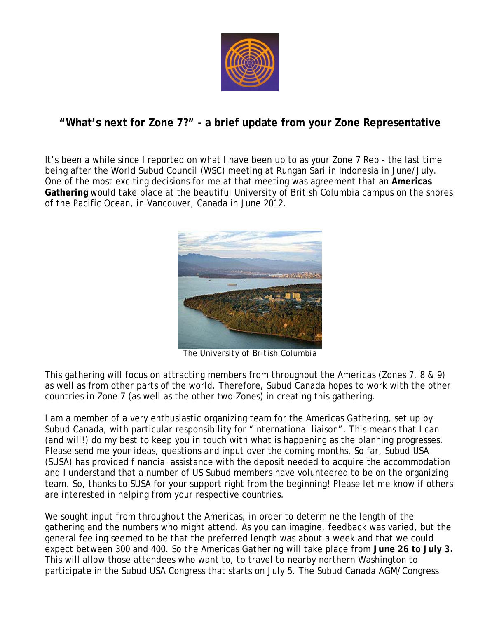

## **"What's next for Zone 7?" - a brief update from your Zone Representative**

It's been a while since I reported on what I have been up to as your Zone 7 Rep - the last time being after the World Subud Council (WSC) meeting at Rungan Sari in Indonesia in June/July. One of the most exciting decisions for me at that meeting was agreement that an **Americas Gathering** would take place at the beautiful University of British Columbia campus on the shores of the Pacific Ocean, in Vancouver, Canada in June 2012.



*The University of British Columbia*

This gathering will focus on attracting members from throughout the Americas (Zones 7, 8 & 9) as well as from other parts of the world. Therefore, Subud Canada hopes to work with the other countries in Zone 7 (as well as the other two Zones) in creating this gathering.

I am a member of a very enthusiastic organizing team for the Americas Gathering, set up by Subud Canada, with particular responsibility for "international liaison". This means that I can (and will!) do my best to keep you in touch with what is happening as the planning progresses. Please send me your ideas, questions and input over the coming months. So far, Subud USA (SUSA) has provided financial assistance with the deposit needed to acquire the accommodation and I understand that a number of US Subud members have volunteered to be on the organizing team. So, thanks to SUSA for your support right from the beginning! Please let me know if others are interested in helping from your respective countries.

We sought input from throughout the Americas, in order to determine the length of the gathering and the numbers who might attend. As you can imagine, feedback was varied, but the general feeling seemed to be that the preferred length was about a week and that we could expect between 300 and 400. So the Americas Gathering will take place from **June 26 to July 3.** This will allow those attendees who want to, to travel to nearby northern Washington to participate in the Subud USA Congress that starts on July 5. The Subud Canada AGM/Congress